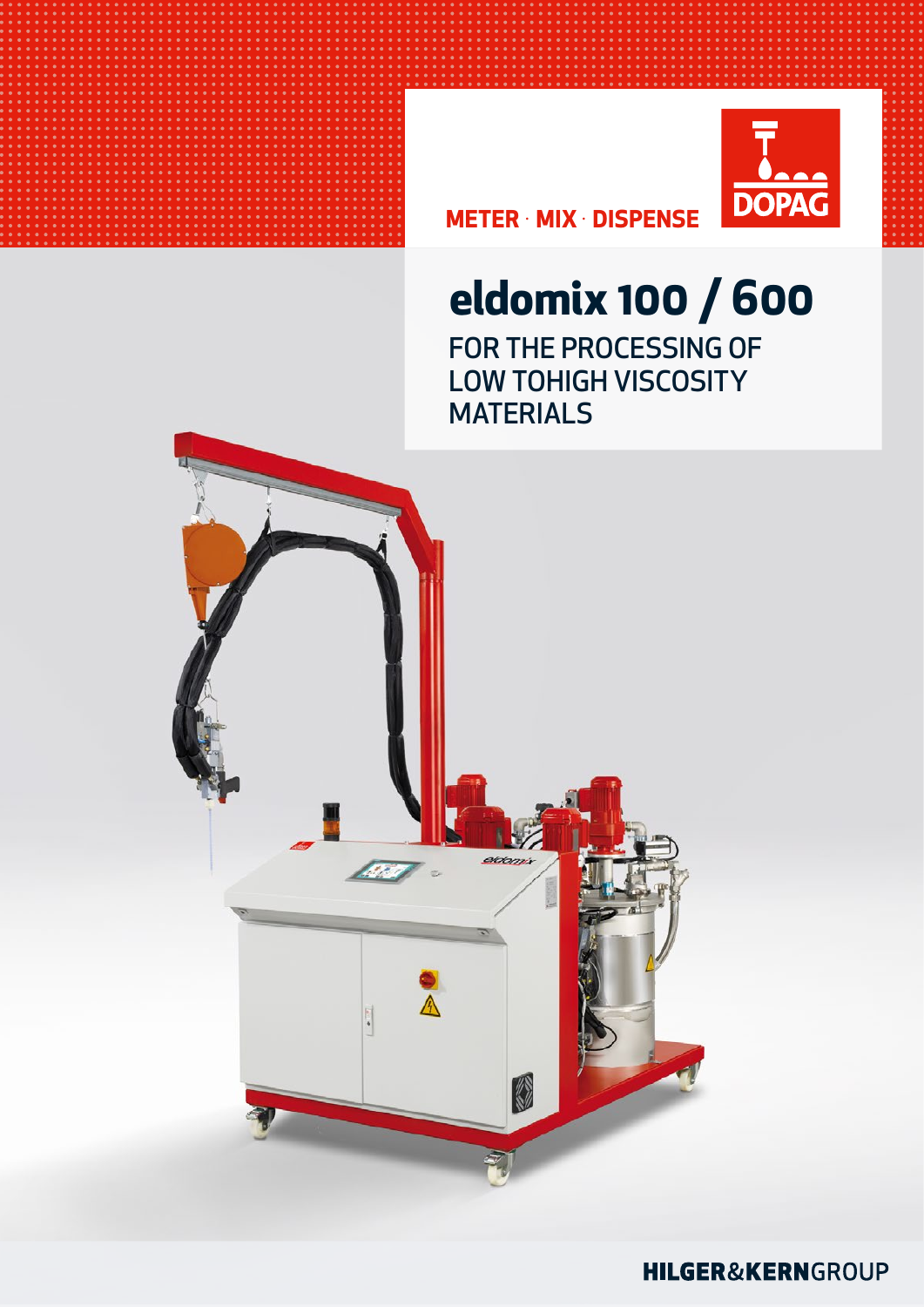

**METER · MIX · DISPENSE** 

## eldomix 100 / 600 FOR THE PROCESSING OF **LOW TOHIGH VISCOSITY MATERIALS**



### **HILGER&KERN**GROUP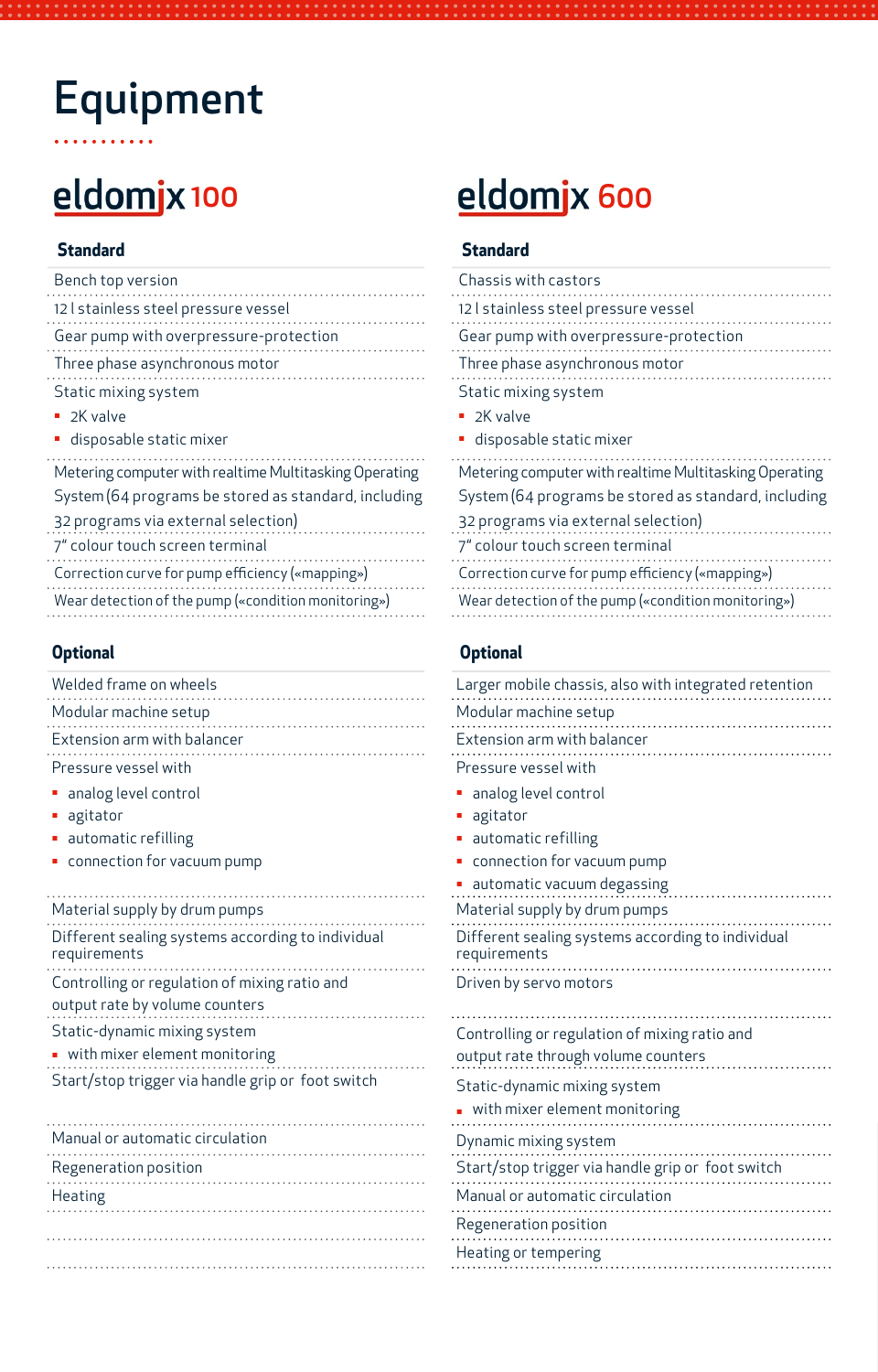# Equipment

| Bench top version                                                                                       | Chassis with castors                                                                                 |  |
|---------------------------------------------------------------------------------------------------------|------------------------------------------------------------------------------------------------------|--|
| 12   stainless steel pressure vessel                                                                    | 12   stainless steel pressure vessel                                                                 |  |
| Gear pump with overpressure-protection                                                                  | Gear pump with overpressure-protection                                                               |  |
| Three phase asynchronous motor                                                                          | Three phase asynchronous motor                                                                       |  |
| Static mixing system                                                                                    | Static mixing system                                                                                 |  |
| $\blacksquare$ 2K valve                                                                                 | $\blacksquare$ 2K valve                                                                              |  |
| · disposable static mixer                                                                               | · disposable static mixer                                                                            |  |
| Metering computer with realtime Multitasking Operating                                                  | Metering computer with realtime Multitasking Op                                                      |  |
| System (64 programs be stored as standard, including                                                    | System (64 programs be stored as standard, in                                                        |  |
| 32 programs via external selection)                                                                     | 32 programs via external selection)                                                                  |  |
| 7" colour touch screen terminal                                                                         | 7" colour touch screen terminal                                                                      |  |
| Correction curve for pump efficiency («mapping»)<br>Wear detection of the pump («condition monitoring») | Correction curve for pump efficiency («mapping»)<br>Wear detection of the pump («condition monitorir |  |
|                                                                                                         |                                                                                                      |  |

### **Optional Optional**

| Welded frame on wheels                                                          | Larger mobile chassis, also with integrated retention             |
|---------------------------------------------------------------------------------|-------------------------------------------------------------------|
| Modular machine setup                                                           | Modular machine setup                                             |
| Extension arm with balancer                                                     | Extension arm with balancer                                       |
| Pressure vessel with                                                            | Pressure vessel with                                              |
| • analog level control                                                          | • analog level control                                            |
| • agitator                                                                      | • agitator                                                        |
| • automatic refilling                                                           | • automatic refilling                                             |
| • connection for vacuum pump                                                    | • connection for vacuum pump                                      |
|                                                                                 | • automatic vacuum degassing                                      |
| Material supply by drum pumps                                                   | Material supply by drum pumps                                     |
| Different sealing systems according to individual<br>requirements               | Different sealing systems according to individual<br>requirements |
| Controlling or regulation of mixing ratio and<br>output rate by volume counters | Driven by servo motors                                            |
| Static-dynamic mixing system                                                    | Controlling or regulation of mixing ratio and                     |
| • with mixer element monitoring                                                 | output rate through volume counters                               |
| Start/stop trigger via handle grip or foot switch                               | Static-dynamic mixing system                                      |
|                                                                                 | . with mixer element monitoring                                   |
| Manual or automatic circulation                                                 | Dynamic mixing system                                             |
| Regeneration position                                                           | Start/stop trigger via handle grip or foot switch                 |
| <b>Heating</b>                                                                  | Manual or automatic circulation                                   |
|                                                                                 | Regeneration position                                             |

## eldomjx 100 eldomjx 600

### **Standard Standard**

| Chassis with castors                                   |
|--------------------------------------------------------|
| 12 I stainless steel pressure vessel                   |
| Gear pump with overpressure-protection                 |
| Three phase asynchronous motor                         |
| Static mixing system                                   |
| 2K valve                                               |
| · disposable static mixer                              |
| Metering computer with realtime Multitasking Operating |
| System (64 programs be stored as standard, including   |
| 32 programs via external selection)                    |
| 7" colour touch screen terminal                        |
| Correction curve for pump efficiency («mapping»)       |
| Wear detection of the pump («condition monitoring»)    |
|                                                        |

| Larger mobile chassis, also with integrated retention             |
|-------------------------------------------------------------------|
| Modular machine setup                                             |
| Extension arm with balancer                                       |
| Pressure vessel with                                              |
| analog level control                                              |
| agitator                                                          |
| automatic refilling                                               |
| connection for vacuum pump                                        |
| automatic vacuum degassing                                        |
| Material supply by drum pumps                                     |
| Different sealing systems according to individual<br>requirements |
| Driven by servo motors                                            |
| Controlling or regulation of mixing ratio and                     |
| output rate through volume counters                               |
| Static-dynamic mixing system                                      |
| with mixer element monitoring                                     |
| Dynamic mixing system                                             |
| Start/stop trigger via handle grip or foot switch                 |
| Manual or automatic circulation                                   |
| Regeneration position                                             |
| Heating or tempering                                              |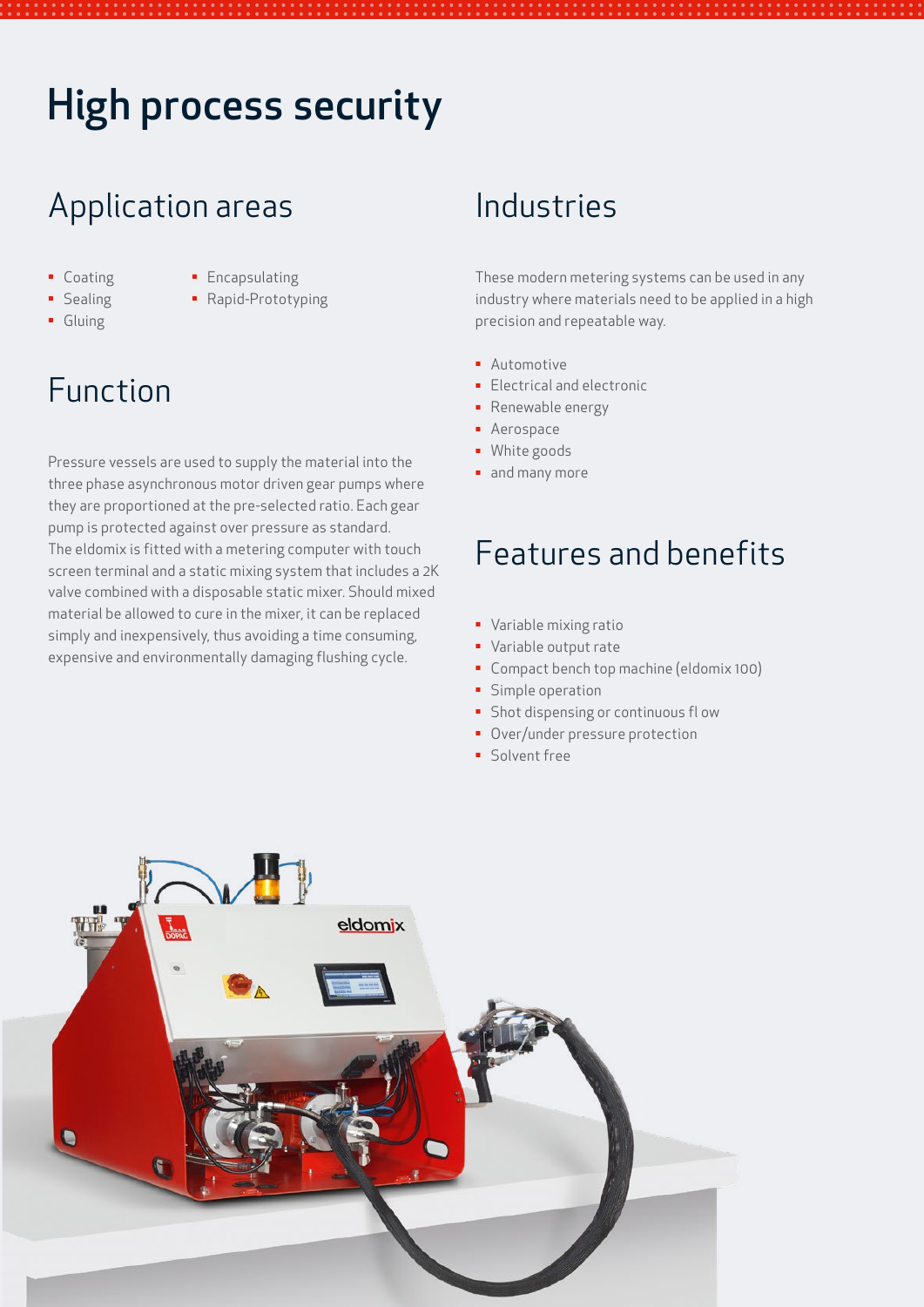## High process security

## Application areas

- **Encapsulating** 
	- Rapid-Prototyping
- **•** Sealing ▪ Gluing

■ Coating

## Function

Pressure vessels are used to supply the material into the three phase asynchronous motor driven gear pumps where they are proportioned at the pre-selected ratio. Each gear pump is protected against over pressure as standard. The eldomix is fitted with a metering computer with touch screen terminal and a static mixing system that includes a 2K valve combined with a disposable static mixer. Should mixed material be allowed to cure in the mixer, it can be replaced simply and inexpensively, thus avoiding a time consuming, expensive and environmentally damaging flushing cycle.

## Industries

These modern metering systems can be used in any industry where materials need to be applied in a high precision and repeatable way.

- **·** Automotive
- **Electrical and electronic**
- **•** Renewable energy
- **•** Aerospace
- **·** White goods
- and many more

## Features and benefits

- **·** Variable mixing ratio
- Variable output rate
- Compact bench top machine (eldomix 100)
- **·** Simple operation
- **·** Shot dispensing or continuous fl ow
- **Over/under pressure protection**
- Solvent free

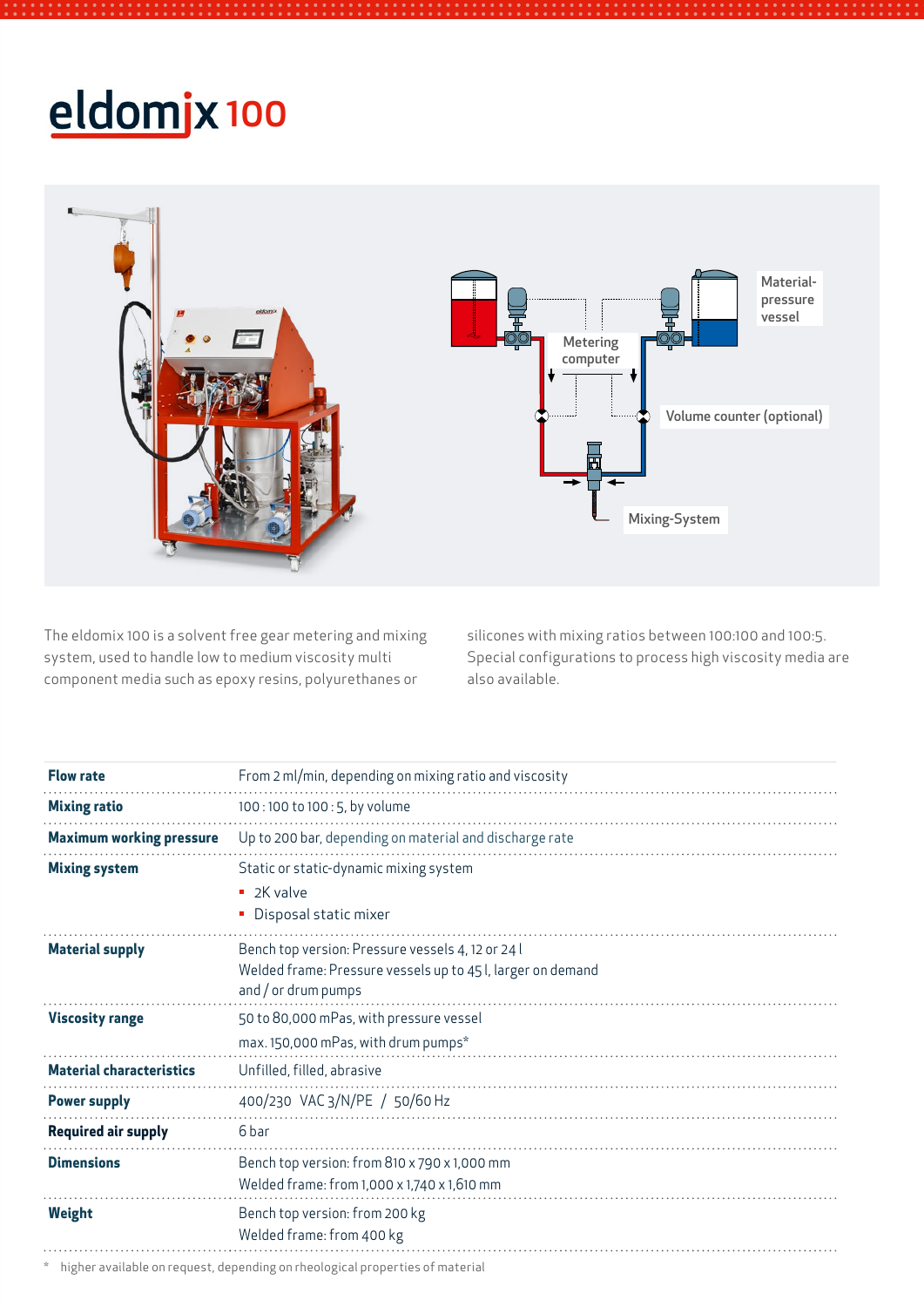# eldomjx 100



The eldomix 100 is a solvent free gear metering and mixing system, used to handle low to medium viscosity multi component media such as epoxy resins, polyurethanes or

silicones with mixing ratios between 100:100 and 100:5. Special configurations to process high viscosity media are also available.

| <b>Flow rate</b>                | From 2 ml/min, depending on mixing ratio and viscosity                             |
|---------------------------------|------------------------------------------------------------------------------------|
| <b>Mixing ratio</b>             | 100:100 to 100:5, by volume                                                        |
| <b>Maximum working pressure</b> | Up to 200 bar, depending on material and discharge rate                            |
| <b>Mixing system</b>            | Static or static-dynamic mixing system                                             |
|                                 | $\blacksquare$ 2K valve                                                            |
|                                 | Disposal static mixer                                                              |
| <b>Material supply</b>          | Bench top version: Pressure vessels 4, 12 or 24 l                                  |
|                                 | Welded frame: Pressure vessels up to 45 l, larger on demand<br>and / or drum pumps |
| <b>Viscosity range</b>          | 50 to 80,000 mPas, with pressure vessel                                            |
|                                 | max. 150,000 mPas, with drum pumps*                                                |
| <b>Material characteristics</b> | Unfilled, filled, abrasive                                                         |
| <b>Power supply</b>             | 400/230 VAC 3/N/PE / 50/60 Hz                                                      |
| <b>Required air supply</b>      | 6 bar                                                                              |
| <b>Dimensions</b>               | Bench top version: from 810 x 790 x 1,000 mm                                       |
|                                 | Welded frame: from 1,000 x 1,740 x 1,610 mm                                        |
| <b>Weight</b>                   | Bench top version: from 200 kg                                                     |
|                                 | Welded frame: from 400 kg                                                          |

\* higher available on request, depending on rheological properties of material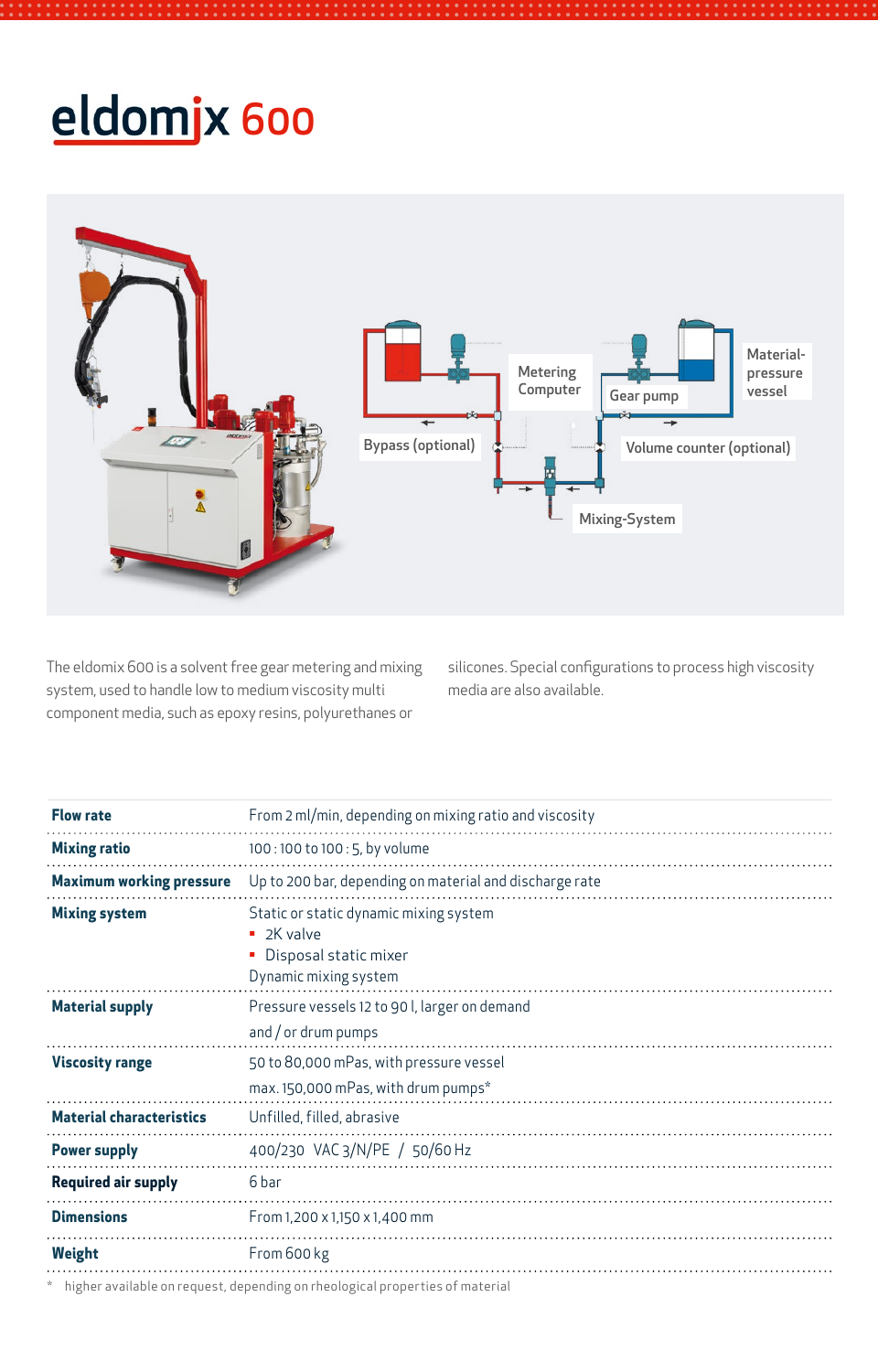# eldomjx 600



The eldomix 600 is a solvent free gear metering and mixing system, used to handle low to medium viscosity multi component media, such as epoxy resins, polyurethanes or

silicones. Special configurations to process high viscosity media are also available.

| <b>Flow rate</b>                | From 2 ml/min, depending on mixing ratio and viscosity                                                              |
|---------------------------------|---------------------------------------------------------------------------------------------------------------------|
| <b>Mixing ratio</b>             | 100:100 to 100:5, by volume                                                                                         |
| <b>Maximum working pressure</b> | Up to 200 bar, depending on material and discharge rate                                                             |
| <b>Mixing system</b>            | Static or static dynamic mixing system<br>$\blacksquare$ 2K valve<br>Disposal static mixer<br>Dynamic mixing system |
| <b>Material supply</b>          | Pressure vessels 12 to 90 l, larger on demand<br>and $/$ or drum pumps                                              |
| <b>Viscosity range</b>          | 50 to 80,000 mPas, with pressure vessel<br>max. 150,000 mPas, with drum pumps*                                      |
| <b>Material characteristics</b> | Unfilled, filled, abrasive                                                                                          |
| <b>Power supply</b>             | 400/230 VAC 3/N/PE / 50/60 Hz                                                                                       |
| <b>Required air supply</b>      | 6 bar                                                                                                               |
| <b>Dimensions</b>               | From 1,200 x 1,150 x 1,400 mm                                                                                       |
| Weight                          | From 600 kg                                                                                                         |
|                                 | . In the concentration of the concentration of the concentration of the concentration of the concentration          |

higher available on request, depending on rheological properties of material